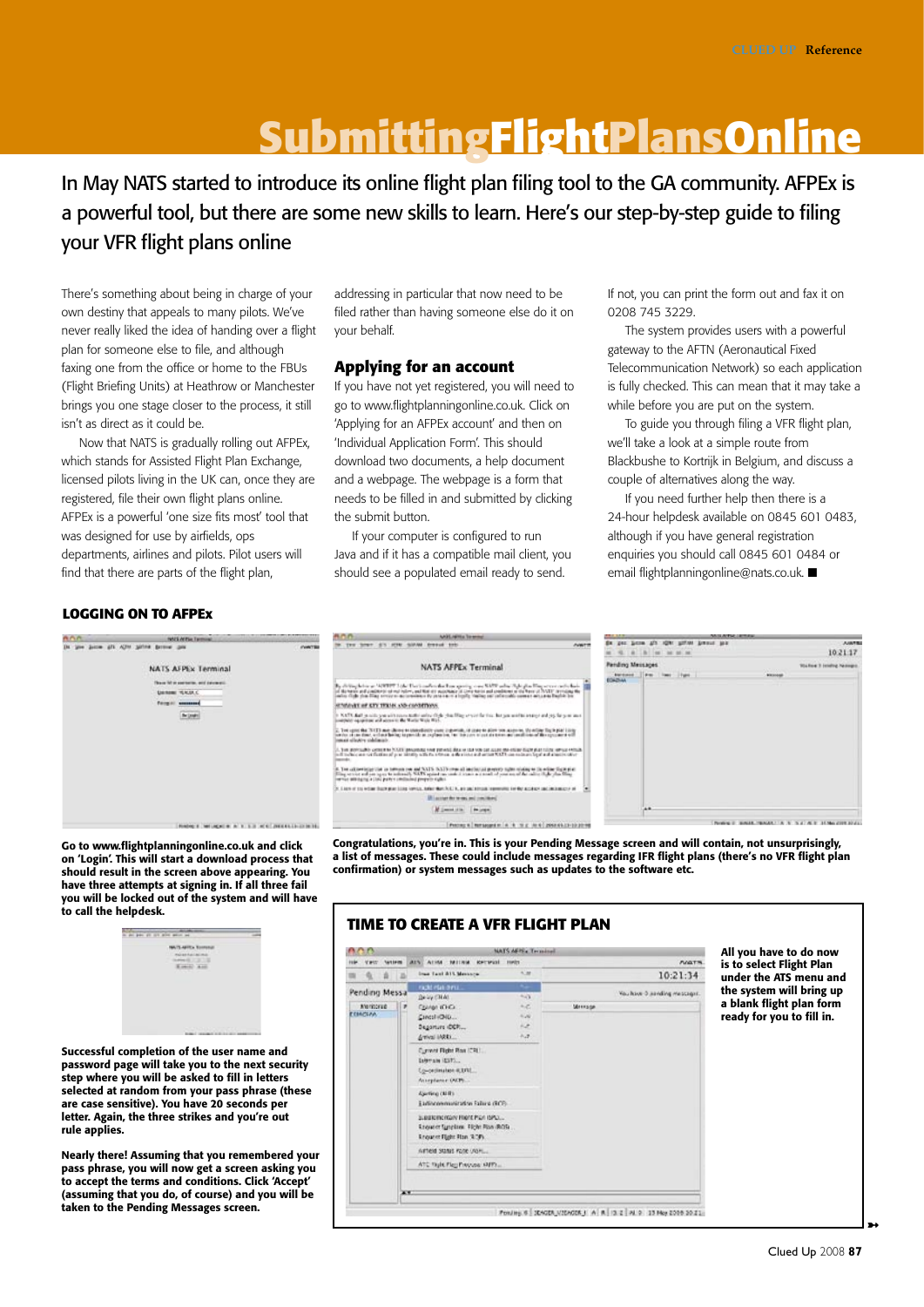## **SubmittingFlightplansOnline**

In May NATS started to introduce its online flight plan filing tool to the GA community. AFPEx is a powerful tool, but there are some new skills to learn. Here's our step-by-step guide to filing your VFR flight plans online

There's something about being in charge of your own destiny that appeals to many pilots. We've never really liked the idea of handing over a flight plan for someone else to file, and although faxing one from the office or home to the FBUs (Flight Briefing Units) at Heathrow or Manchester brings you one stage closer to the process, it still isn't as direct as it could be.

Now that NATS is gradually rolling out AFPEx, which stands for Assisted Flight Plan Exchange, licensed pilots living in the UK can, once they are registered, file their own flight plans online. AFPEx is a powerful 'one size fits most' tool that was designed for use by airfields, ops departments, airlines and pilots. Pilot users will find that there are parts of the flight plan,

addressing in particular that now need to be filed rather than having someone else do it on your behalf.

### **Applying for an account**

If you have not yet registered, you will need to go to www.flightplanningonline.co.uk. Click on 'Applying for an AFPEx account' and then on 'Individual Application Form'. This should download two documents, a help document and a webpage. The webpage is a form that needs to be filled in and submitted by clicking the submit button.

If your computer is configured to run Java and if it has a compatible mail client, you should see a populated email ready to send.

If not, you can print the form out and fax it on 0208 745 3229.

The system provides users with a powerful gateway to the AFTN (Aeronautical Fixed Telecommunication Network) so each application is fully checked. This can mean that it may take a while before you are put on the system.

To guide you through filing a VFR flight plan, we'll take a look at a simple route from Blackbushe to Kortrijk in Belgium, and discuss a couple of alternatives along the way.

If you need further help then there is a 24-hour helpdesk available on 0845 601 0483, although if you have general registration enquiries you should call 0845 601 0484 or email flightplanningonline@nats.co.uk. ■

#### **lOgging On TO AFpex**



Go to www.flightplanningonline.co.uk and click on 'Login'. This will start a download process that should result in the screen above appearing. You have three attempts at signing in. If all three fail you will be locked out of the system and will have to call the helpdesk.



Successful completion of the user name and password page will take you to the next security step where you will be asked to fill in letters selected at random from your pass phrase (these are case sensitive). You have 20 seconds per letter. Again, the three strikes and you're out rule applies.

Nearly there! Assuming that you remembered your pass phrase, you will now get a screen asking you to accept the terms and conditions. Click 'Accept' (assuming that you do, of course) and you will be taken to the Pending Messages screen.

Congratulations, you're in. This is your Pending Message screen and will contain, not unsurprisingly, a list of messages. These could include messages regarding IFR flight plans (there's no VFR flight plan confirmation) or system messages such as updates to the software etc.

**Time TO cReATe A VFR FlighT plAn**  $A \wedge B$ NATS AFTER THINGHAM nie vzer tenen ant ante tennie kere **NATH**  $A$   $B$ **Das Last ATL Messes** 10:21:34  $\mathbf{q}$ Pending Messa Deserting You have 5 as riding messages Brig (RA)<br>Congrativo Notices | P Wrings Cincil (OID) Segarure CCP ...  $\sim$ Amail Mitt Cyrent Right Roa (CR) **Literate (EST) Co-ordinates (LDN)** irplaner (MP) Aprileg (MR) **matrician fature (BCP)** Eudocon SUBDIVISIONS FROM PICA ISSUE. **Engineer Syngton: Flight Plan (ROS)**<br>Request Fight Plan (ROS) Artest statut vane van ATC Talk Flop Pressor (APP). Postes 6 | SEAGER VIEWOR | A | R | G 2 | M 0 | 13 PAs 2008 2011

All you have to do now is to select Flight Plan under the ATS menu and the system will bring up a blank flight plan form ready for you to fill in.

➼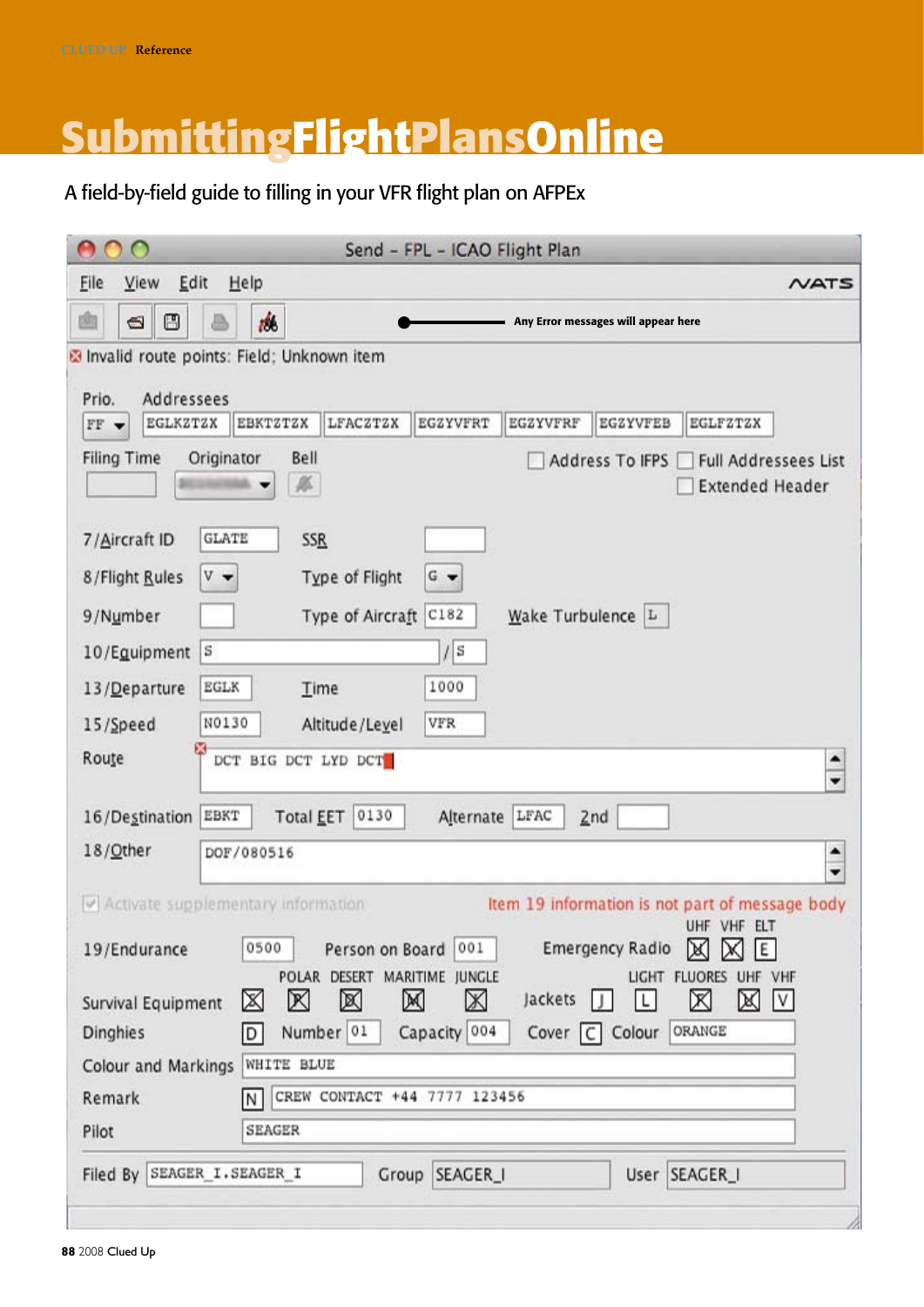# **SubmittingFlightPlansOnline**

A field-by-field guide to filling in your VFR flight plan on AFPEx

| $\Omega$                                                         | Send - FPL - ICAO Flight Plan                                                                       |
|------------------------------------------------------------------|-----------------------------------------------------------------------------------------------------|
| Edit<br>Eile<br>View                                             | Help<br><b>NATS</b>                                                                                 |
| 画<br>⊡<br>Q                                                      | đ6<br>Any Error messages will appear here                                                           |
| a Invalid route points: Field; Unknown item                      |                                                                                                     |
| Prio.<br>Addressees                                              |                                                                                                     |
| EGLKZTZX<br>FF -                                                 | LFACZTZX<br>EGZYVFRT<br>EGZYVFRF<br>EGZYVFEB<br>EBKTZTZX<br>EGLFZTZX                                |
| <b>Filing Time</b><br>Originator                                 | Bell<br>Address To IFPS<br><b>Full Addressees List</b><br>ß.<br><b>Extended Header</b>              |
| <b>GLATE</b><br>7/Aircraft ID                                    | <b>SSR</b>                                                                                          |
| 8/Flight Rules<br>v -                                            | Type of Flight<br>$G -$                                                                             |
| 9/Number                                                         | Type of Aircraft C182<br>Wake Turbulence L                                                          |
| $\mathbb S$<br>10/Eguipment                                      | $/$ s                                                                                               |
| EGLK<br>13/Departure                                             | 1000<br>Time                                                                                        |
| N0130<br>15/Speed                                                | <b>VFR</b><br>Altitude/Level                                                                        |
| Route                                                            | DCT BIG DCT LYD DCT<br>$\hat{\overline{\ }}$                                                        |
| EBKT                                                             | Total EET<br>0130<br>Alternate LFAC                                                                 |
| 16/Destination<br>18/Other                                       | 2nd<br>DOF/080516<br>۰                                                                              |
|                                                                  | ٠                                                                                                   |
| V Activate supplementary information                             | Item 19 information is not part of message body                                                     |
| 19/Endurance                                                     | UHF VHF ELT<br>0500<br>Person on Board<br><b>Emergency Radio</b><br>M<br>001<br>Ε                   |
|                                                                  | POLAR DESERT MARITIME JUNGLE<br>LIGHT FLUORES UHF VHF                                               |
| Survival Equipment                                               | ⊠<br>X<br>X<br>$\bowtie$<br>$\mathbb X$<br>⊠<br>Jackets<br>$\lfloor \mathsf{L} \rfloor$<br> V <br>⊠ |
| <b>Dinghies</b>                                                  | Number 01<br>Capacity 004<br>ORANGE<br>Cover C Colour<br>D                                          |
| Colour and Markings<br>Remark                                    | WHITE BLUE<br>CREW CONTACT +44 7777 123456                                                          |
| Pilot                                                            | N<br><b>SEAGER</b>                                                                                  |
|                                                                  |                                                                                                     |
| Filed By SEAGER_I.SEAGER_I<br>User SEAGER_I<br>SEAGER_I<br>Group |                                                                                                     |
|                                                                  |                                                                                                     |